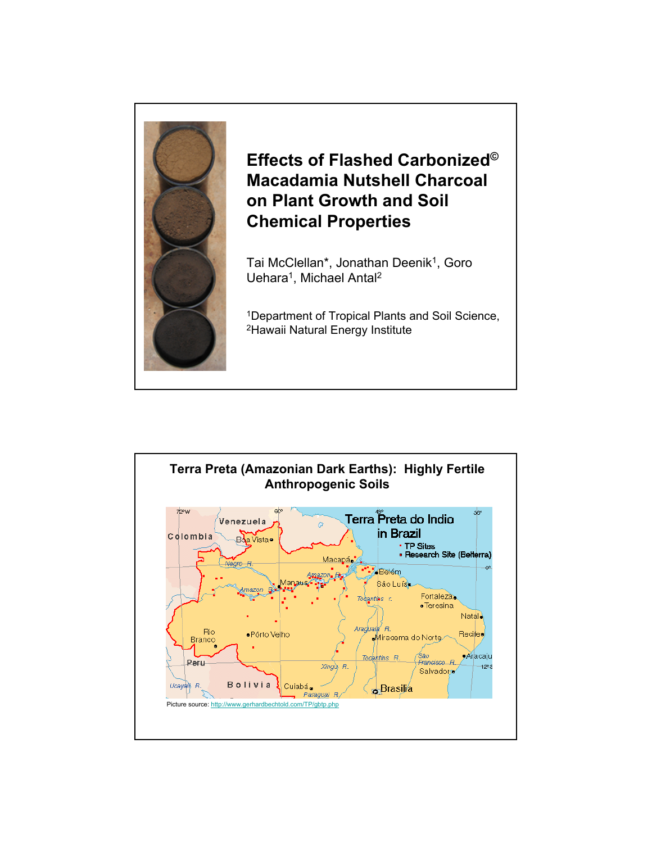

## **Effects of Flashed Carbonized© Macadamia Nutshell Charcoal on Plant Growth and Soil Chemical Properties**

Tai McClellan\*, Jonathan Deenik<sup>1</sup>, Goro Uehara<sup>1</sup>, Michael Antal<sup>2</sup>

1Department of Tropical Plants and Soil Science, 2Hawaii Natural Energy Institute

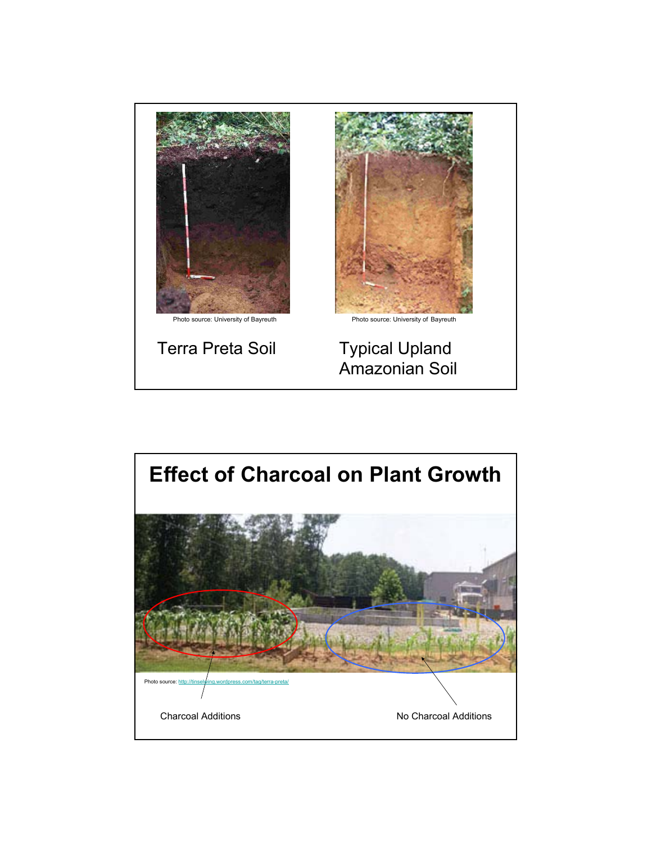

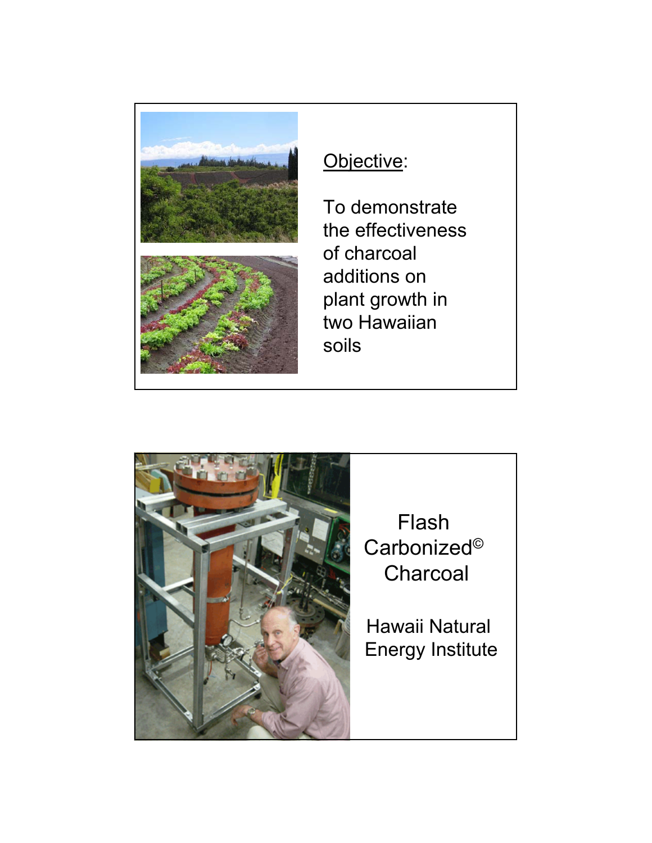

## Objective:

To demonstrate the effectiveness of charcoal additions on plant growth in two Hawaiian soils



Flash Carbonized© Charcoal

Hawaii Natural Energy Institute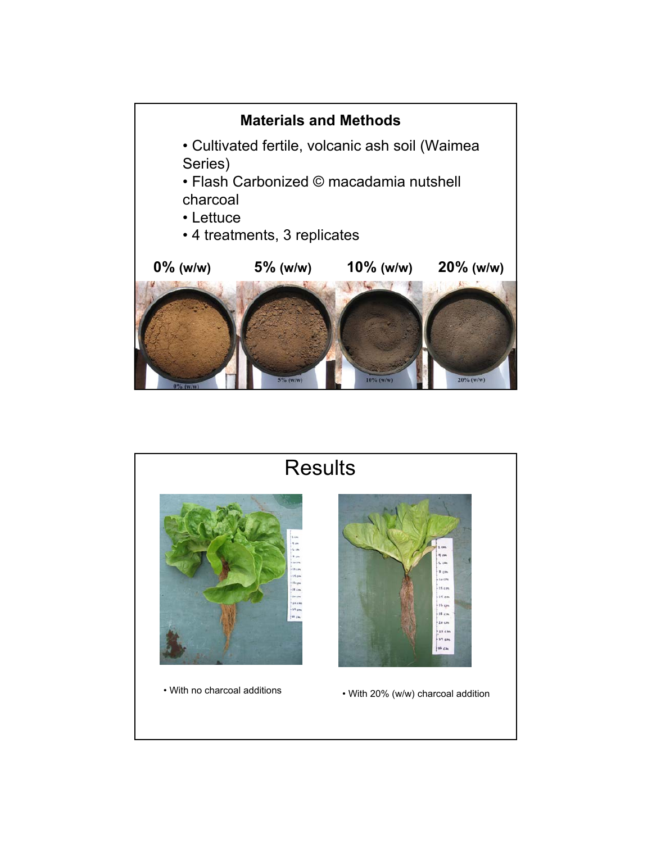

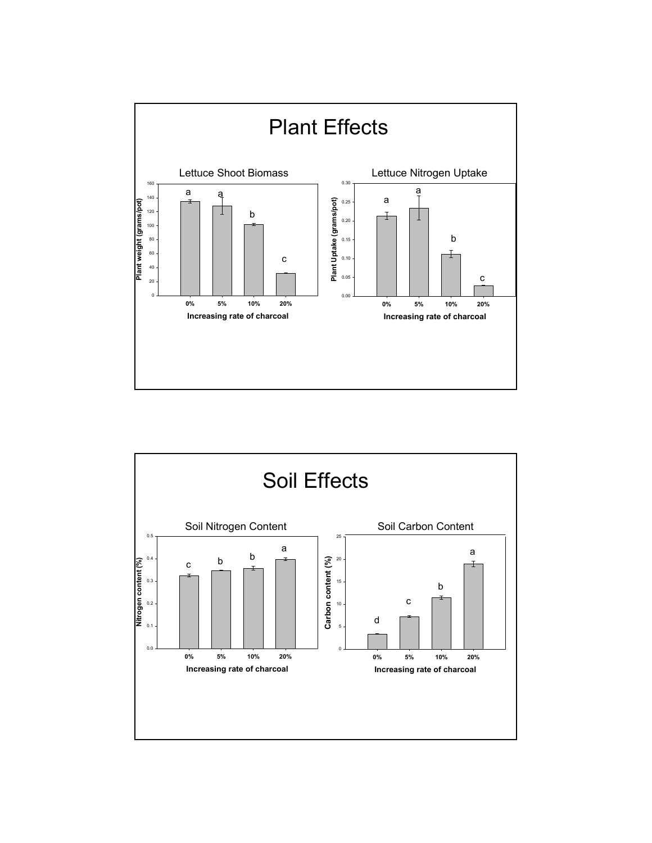

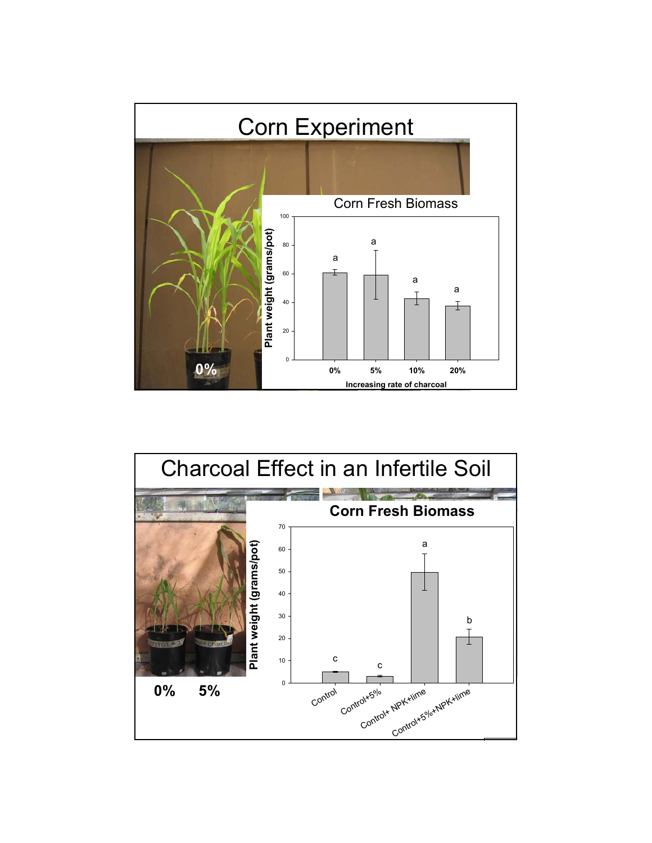

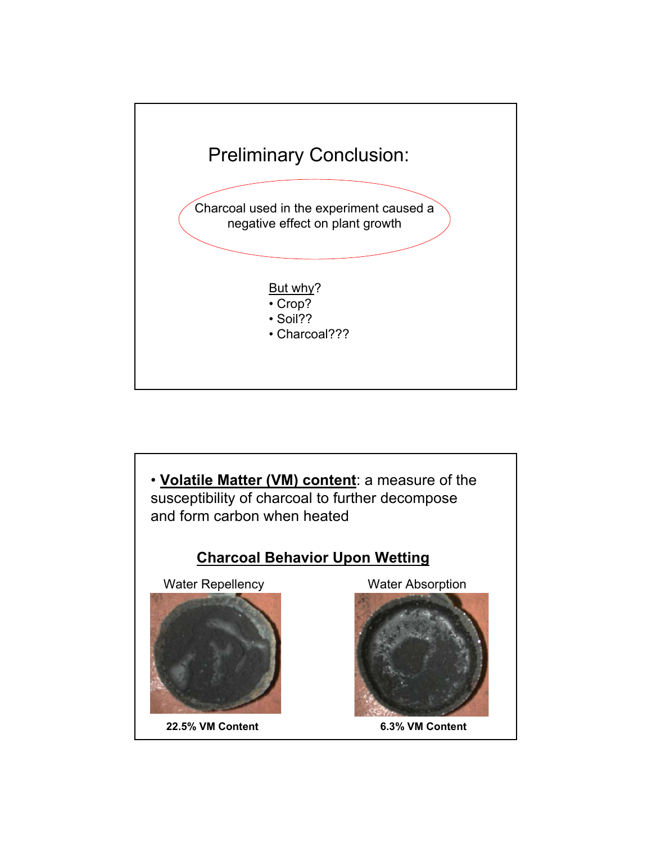

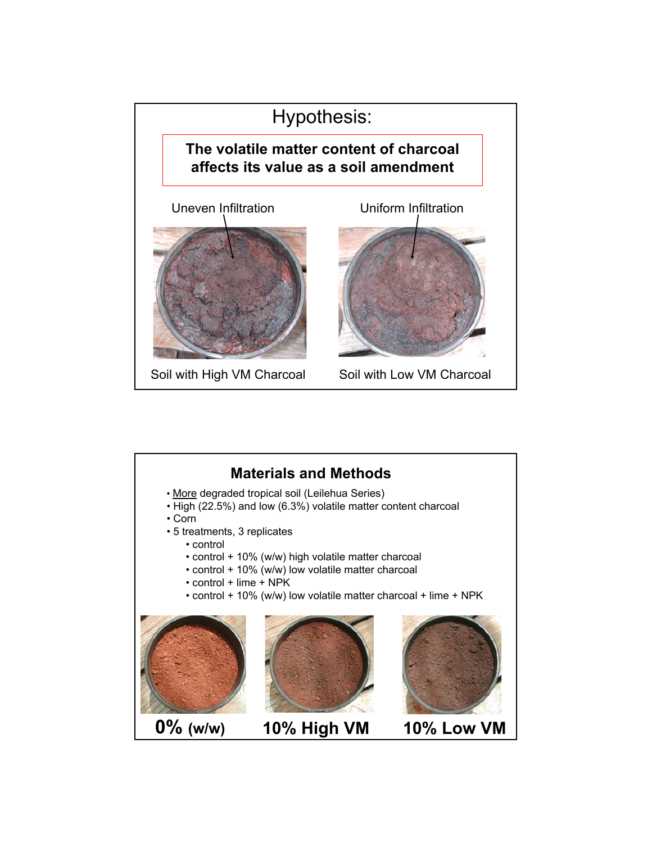![](_page_7_Picture_0.jpeg)

![](_page_7_Picture_1.jpeg)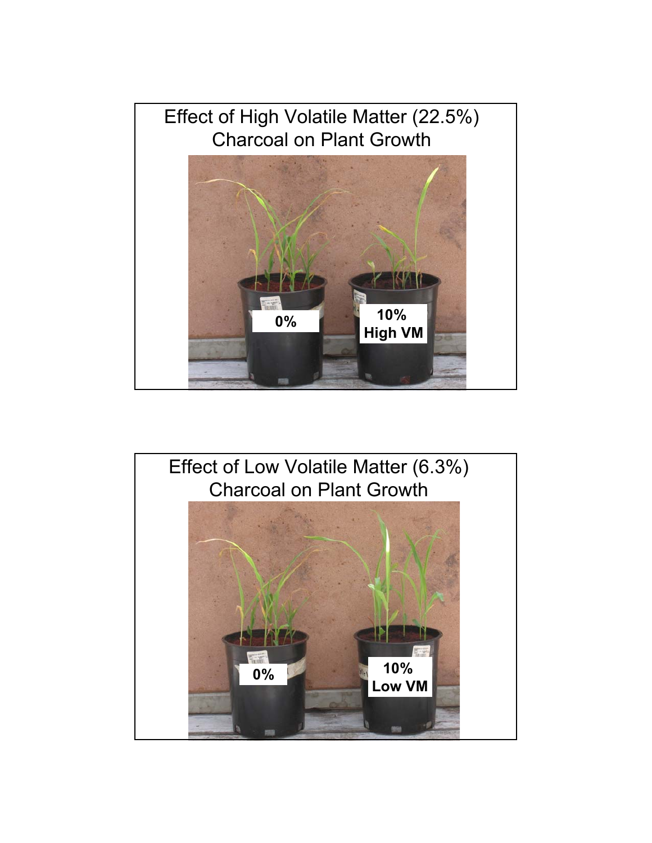![](_page_8_Picture_0.jpeg)

![](_page_8_Picture_1.jpeg)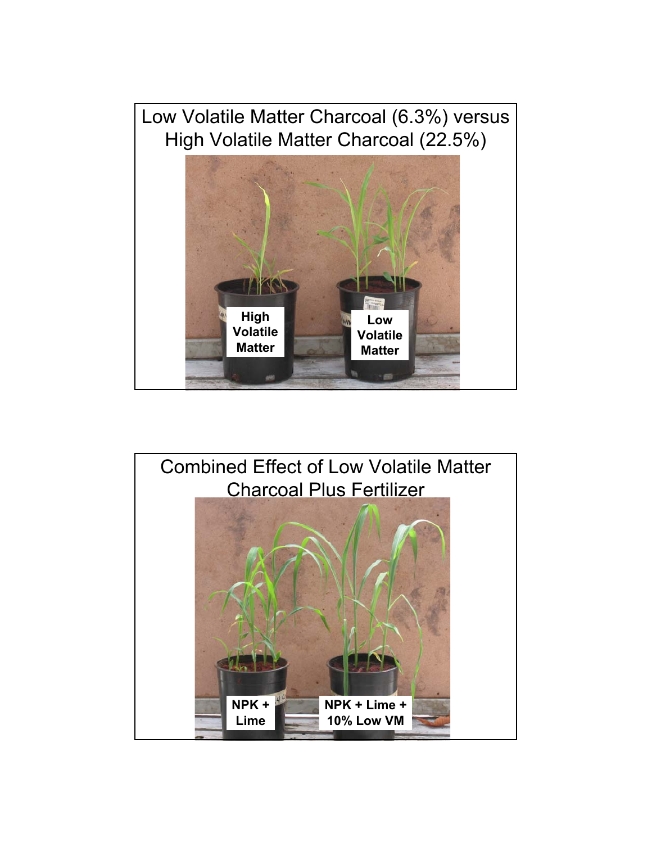![](_page_9_Picture_0.jpeg)

![](_page_9_Picture_1.jpeg)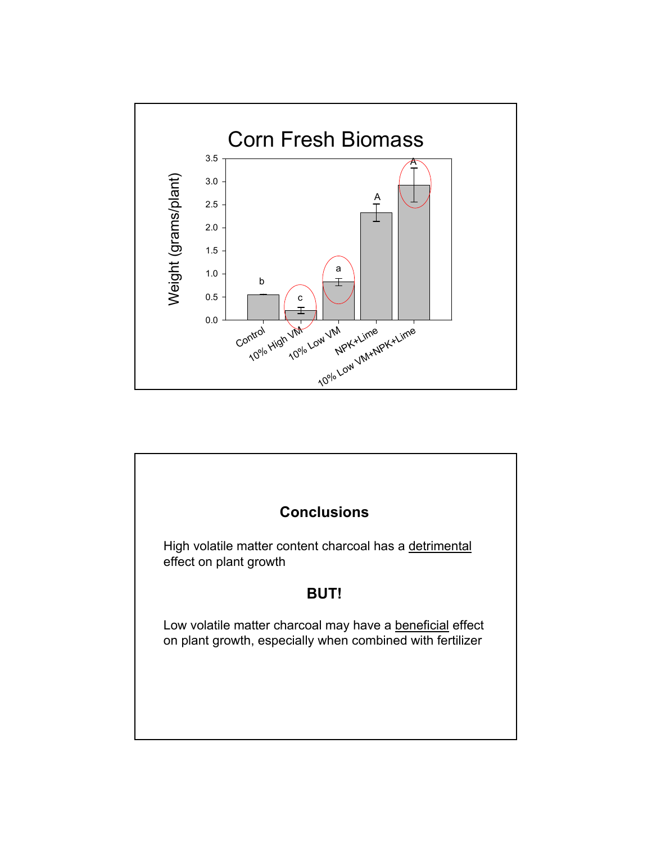![](_page_10_Figure_0.jpeg)

![](_page_10_Figure_1.jpeg)